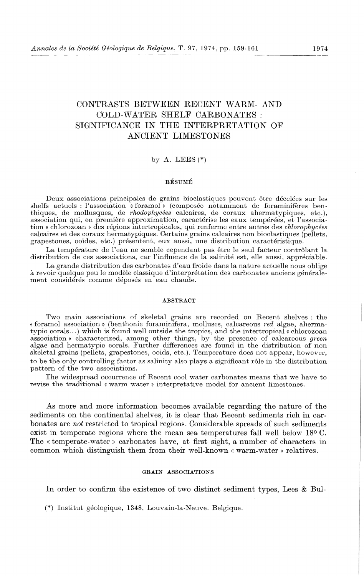# CONTRASTS BETWEEN RECENT WARM- AND COLD-WATER SHELF CARBONATES : SIGNIFICANCE IN THE INTERPRETATION OF ANCIENT LIMESTONES

## by A. LEES  $(*)$

#### RESUME

Deux associations principales de grains bioclastiques peuvent être décelées sur les shelfs actuels : l'association « foramol » (composée notamment de foraminifères benthiques, de mollusques, de *rhodophycees* calcaires, de coraux ahermatypiques, etc.), association qui, en première approximation, caractérise les eaux tempérées, et l'association (( chlorozoan » des regions intertropicales, qui renferme entre autres des *chlorophycees*  calcaires et des coraux hermatypiques. Certains grains calcaires non bioclastiques (pellets, grapestones, ooides, etc.) présentent, eux aussi, une distribution caractéristique.

La température de l'eau ne semble cependant pas être le seul facteur contrôlant la distribution de ces associations, car l'infiuence de la salinite est, elle aussi, appreciable.

La grande distribution des carbonates d'eau froide dans la nature actuelle nous oblige a revoir quelque peu le modele classique d'interpretation des carbonates anciens generalement considérés comme déposés en eau chaude.

#### ABSTRACT

Two main associations of skeletal grains are recorded on Recent shelves : the (( foramol association » (benthonic foraminifera, molluscs, calcareous *red* algae, ahermatypic corals...) which is found well outside the tropics, and the intertropical « chlorozoan association » characterized, among other things, by the presence of calcareous *green*  algae and hermatypic corals. Further differences are found in the distribution of non skeletal grains (pellets, grapestones, ooids, etc.). Temperature does not appear, however, to be the only controlling factor as salinity also plays a significant rôle in the distribution pattern of the two associations.

The widespread occurrence of Recent cool water carbonates means that we have to revise the traditional «warm water » interpretative model for ancient limestones.

As more and more information becomes available regarding the nature of the sediments on the continental shelves, it is clear that Recent sediments rich in carbonates are not restricted to tropical regions. Considerable spreads of such sediments exist in temperate regions where the mean sea temperatures fall well below 18° C. The «temperate-water » carbonates have, at first sight, a number of characters in common which distinguish them from their well-known  $\kappa$  warm-water  $\nu$  relatives.

#### GRAIN ASSOCIATIONS

In order to confirm the existence of two distinct sediment types, Lees & Bul-

(\*) Institut geologique, 1348, Louvain-la-Neuve. Belgique.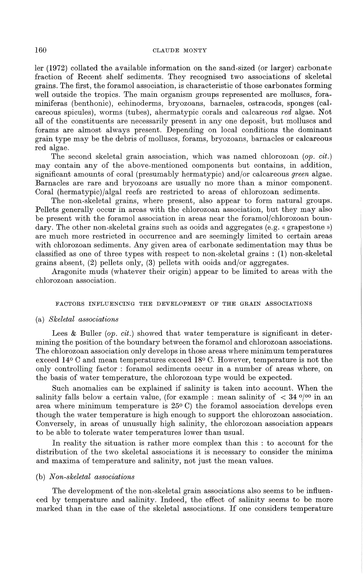# 160 CLAUDE MONTY

ler (1972) collated the available information on the sand-sized (or larger) carbonate fraction of Recent shelf sediments. They recognised two associations of skeletal grains. The first, the foramol association, is characteristic of those carbonates forming well outside the tropics. The main organism groups represented are molluscs, foraminiferas (benthonic), echinoderms, bryozoans, barnacles, ostracods, sponges (calcareous spicules), worms (tubes), ahermatypic corals and calcareous *red* algae. Not all of the constituents are necessarily present in any one deposit, but molluscs and forams are almost always present. Depending on local conditions the dominant grain type may be the debris of molluscs, forams, bryozoans, barnacles or calcareous red algae.

The second skeletal grain association, which was named chlorozoan *(op. cit.)*  may contain any of the above-mentioned components but contains, in addition, significant amounts of coral (presumably hermatypic) and/or calcareous *green* algae. Barnacles are rare and bryozoans are usually no more than a minor component. Coral (hermatypic)/algal reefs are restricted to areas of chlorozoan sediments.

The non-skeletal grains, where present, also appear to form natural groups. Pellets generally occur in areas with the chlorozoan association, but they may also be present with the foramol association in areas near the foramol/chlorozoan boundary. The other non-skeletal grains such as ooids and aggregates (e.g. « grapestone ») are much more restricted in occurrence and are seemingly limited to certain areas with chlorozoan sediments. Any given area of carbonate sedimentation may thus be classified as one of three types with respect to non-skeletal grains : (1) non-skeletal grains absent, (2) pellets only, (3) pellets with ooids and/or aggregates.

Aragonite muds (whatever their origin) appear to be limited to areas with the chlorozoan association.

### FACTORS INFLUENCING THE DEVELOPMENT OF THE GRAIN ASSOCIATIONS

## (a) *Skeletal associations*

Lees & Buller *(op. cit.)* showed that water temperature is significant in determining the position of the boundary between the foramol and chlorozoan associations. The chlorozoan association only develops in those areas where minimum temperatures exceed 14° C and mean temperatures exceed 18° C. However, temperature is not the only controlling factor : foramol sediments occur in a number of areas where, on the basis of water temperature, the chlorozoan type would be expected.

Such anomalies can be explained if salinity is taken into account. When the salinity falls below a certain value, (for example : mean salinity of  $\langle 34 \degree \rangle^{00}$  in an area where minimum temperature is  $25^{\circ}$  C) the foramol association develops even though the water temperature is high enough to support the chlorozoan association. Conversely, in areas of unusually high salinity, the chlorozoan association appears to be able to tolerate water temperatures lower than usual.

In reality the situation is rather more complex than this : to account for the distribution of the two skeletal associations it is necessary to consider the minima and maxima of temperature and salinity, not just the mean values.

## (b) *Non-skeletal associations*

The development of the non-skeletal grain associations also seems to be influenced by temperature and salinity. Indeed, the effect of salinity seems to be more marked than in the case of the skeletal associations. If one considers temperature